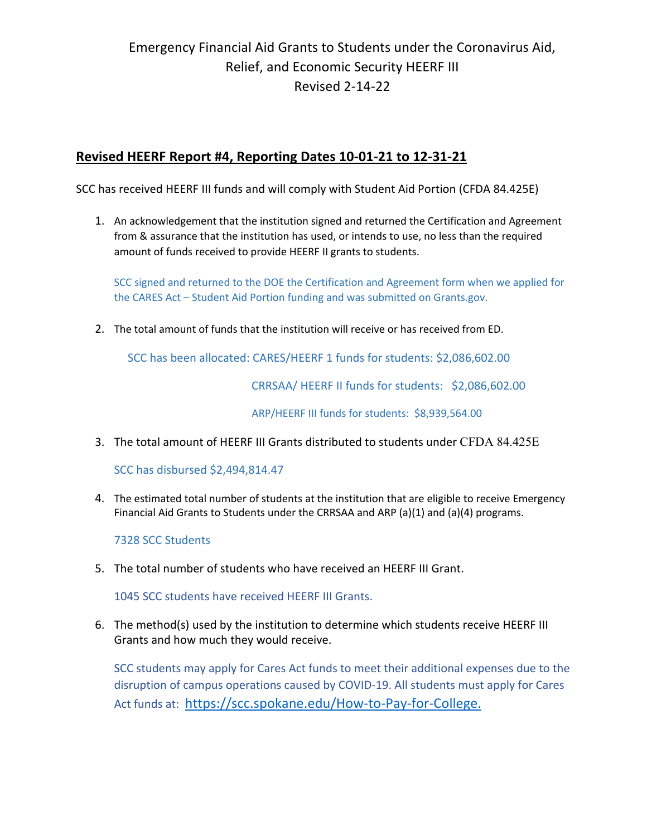## Emergency Financial Aid Grants to Students under the Coronavirus Aid, Relief, and Economic Security HEERF III Revised 2-14-22

## **Revised HEERF Report #4, Reporting Dates 10-01-21 to 12-31-21**

SCC has received HEERF III funds and will comply with Student Aid Portion (CFDA 84.425E)

1. An acknowledgement that the institution signed and returned the Certification and Agreement from & assurance that the institution has used, or intends to use, no less than the required amount of funds received to provide HEERF II grants to students.

SCC signed and returned to the DOE the Certification and Agreement form when we applied for the CARES Act – Student Aid Portion funding and was submitted on Grants.gov.

2. The total amount of funds that the institution will receive or has received from ED.

SCC has been allocated: CARES/HEERF 1 funds for students: \$2,086,602.00

CRRSAA/ HEERF II funds for students: \$2,086,602.00

ARP/HEERF III funds for students: \$8,939,564.00

3. The total amount of HEERF III Grants distributed to students under CFDA 84.425E

SCC has disbursed \$2,494,814.47

4. The estimated total number of students at the institution that are eligible to receive Emergency Financial Aid Grants to Students under the CRRSAA and ARP (a)(1) and (a)(4) programs.

7328 SCC Students

5. The total number of students who have received an HEERF III Grant.

1045 SCC students have received HEERF III Grants.

6. The method(s) used by the institution to determine which students receive HEERF III Grants and how much they would receive.

SCC students may apply for Cares Act funds to meet their additional expenses due to the disruption of campus operations caused by COVID-19. All students must apply for Cares Act funds at: https://scc.spokane.edu/How-to-Pay-for-College.